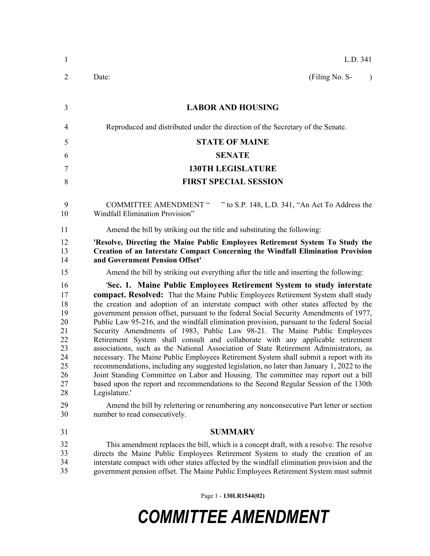| $\mathbf{1}$                                                                     | L.D. 341                                                                                                                                                                                                                                                                                                                                                                                                                                                                                                                                                                                                                                                                                                                                                                                                                                                                                                                                                                                                                                                                                       |
|----------------------------------------------------------------------------------|------------------------------------------------------------------------------------------------------------------------------------------------------------------------------------------------------------------------------------------------------------------------------------------------------------------------------------------------------------------------------------------------------------------------------------------------------------------------------------------------------------------------------------------------------------------------------------------------------------------------------------------------------------------------------------------------------------------------------------------------------------------------------------------------------------------------------------------------------------------------------------------------------------------------------------------------------------------------------------------------------------------------------------------------------------------------------------------------|
| $\overline{2}$                                                                   | (Filing No. S-<br>Date:<br>$\lambda$                                                                                                                                                                                                                                                                                                                                                                                                                                                                                                                                                                                                                                                                                                                                                                                                                                                                                                                                                                                                                                                           |
| 3                                                                                | <b>LABOR AND HOUSING</b>                                                                                                                                                                                                                                                                                                                                                                                                                                                                                                                                                                                                                                                                                                                                                                                                                                                                                                                                                                                                                                                                       |
| $\overline{4}$                                                                   | Reproduced and distributed under the direction of the Secretary of the Senate.                                                                                                                                                                                                                                                                                                                                                                                                                                                                                                                                                                                                                                                                                                                                                                                                                                                                                                                                                                                                                 |
| 5                                                                                | <b>STATE OF MAINE</b>                                                                                                                                                                                                                                                                                                                                                                                                                                                                                                                                                                                                                                                                                                                                                                                                                                                                                                                                                                                                                                                                          |
| 6                                                                                | <b>SENATE</b>                                                                                                                                                                                                                                                                                                                                                                                                                                                                                                                                                                                                                                                                                                                                                                                                                                                                                                                                                                                                                                                                                  |
| $\tau$                                                                           | <b>130TH LEGISLATURE</b>                                                                                                                                                                                                                                                                                                                                                                                                                                                                                                                                                                                                                                                                                                                                                                                                                                                                                                                                                                                                                                                                       |
| 8                                                                                | <b>FIRST SPECIAL SESSION</b>                                                                                                                                                                                                                                                                                                                                                                                                                                                                                                                                                                                                                                                                                                                                                                                                                                                                                                                                                                                                                                                                   |
| 9<br>10                                                                          | " to S.P. 148, L.D. 341, "An Act To Address the<br><b>COMMITTEE AMENDMENT "</b><br>Windfall Elimination Provision"                                                                                                                                                                                                                                                                                                                                                                                                                                                                                                                                                                                                                                                                                                                                                                                                                                                                                                                                                                             |
| 11                                                                               | Amend the bill by striking out the title and substituting the following:                                                                                                                                                                                                                                                                                                                                                                                                                                                                                                                                                                                                                                                                                                                                                                                                                                                                                                                                                                                                                       |
| 12<br>13<br>14                                                                   | 'Resolve, Directing the Maine Public Employees Retirement System To Study the<br><b>Creation of an Interstate Compact Concerning the Windfall Elimination Provision</b><br>and Government Pension Offset'                                                                                                                                                                                                                                                                                                                                                                                                                                                                                                                                                                                                                                                                                                                                                                                                                                                                                      |
| 15                                                                               | Amend the bill by striking out everything after the title and inserting the following:                                                                                                                                                                                                                                                                                                                                                                                                                                                                                                                                                                                                                                                                                                                                                                                                                                                                                                                                                                                                         |
| 16<br>17<br>18<br>19<br>20<br>21<br>22<br>23<br>24<br>25<br>26<br>27<br>28<br>29 | 'Sec. 1. Maine Public Employees Retirement System to study interstate<br><b>compact. Resolved:</b> That the Maine Public Employees Retirement System shall study<br>the creation and adoption of an interstate compact with other states affected by the<br>government pension offset, pursuant to the federal Social Security Amendments of 1977,<br>Public Law 95-216, and the windfall elimination provision, pursuant to the federal Social<br>Security Amendments of 1983, Public Law 98-21. The Maine Public Employees<br>Retirement System shall consult and collaborate with any applicable retirement<br>associations, such as the National Association of State Retirement Administrators, as<br>necessary. The Maine Public Employees Retirement System shall submit a report with its<br>recommendations, including any suggested legislation, no later than January 1, 2022 to the<br>Joint Standing Committee on Labor and Housing. The committee may report out a bill<br>based upon the report and recommendations to the Second Regular Session of the 130th<br>Legislature.' |
| 30                                                                               | Amend the bill by relettering or renumbering any nonconsecutive Part letter or section<br>number to read consecutively.                                                                                                                                                                                                                                                                                                                                                                                                                                                                                                                                                                                                                                                                                                                                                                                                                                                                                                                                                                        |
| 31                                                                               | <b>SUMMARY</b>                                                                                                                                                                                                                                                                                                                                                                                                                                                                                                                                                                                                                                                                                                                                                                                                                                                                                                                                                                                                                                                                                 |
| 32<br>33<br>34<br>35                                                             | This amendment replaces the bill, which is a concept draft, with a resolve. The resolve<br>directs the Maine Public Employees Retirement System to study the creation of an<br>interstate compact with other states affected by the windfall elimination provision and the<br>government pension offset. The Maine Public Employees Retirement System must submit                                                                                                                                                                                                                                                                                                                                                                                                                                                                                                                                                                                                                                                                                                                              |

Page 1 - **130LR1544(02)**

## *COMMITTEE AMENDMENT*